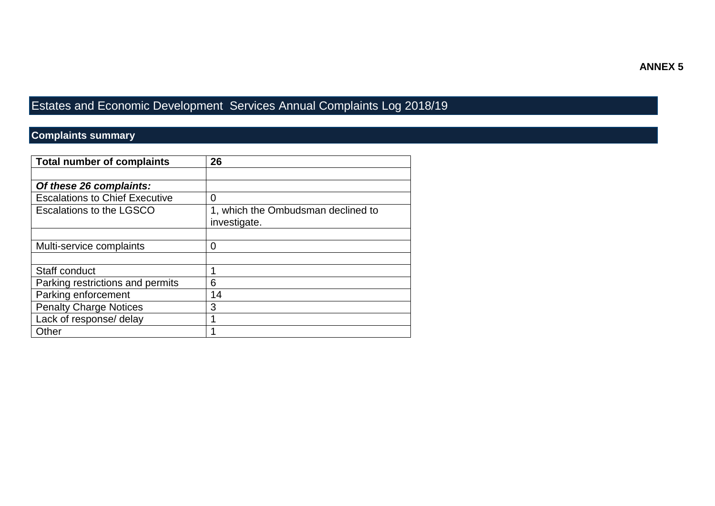## Estates and Economic Development Services Annual Complaints Log 2018/19

## **Complaints summary**

| <b>Total number of complaints</b>     | 26                                 |  |
|---------------------------------------|------------------------------------|--|
|                                       |                                    |  |
| Of these 26 complaints:               |                                    |  |
| <b>Escalations to Chief Executive</b> | 0                                  |  |
| <b>Escalations to the LGSCO</b>       | 1, which the Ombudsman declined to |  |
|                                       | investigate.                       |  |
|                                       |                                    |  |
| Multi-service complaints              | 0                                  |  |
|                                       |                                    |  |
| Staff conduct                         |                                    |  |
| Parking restrictions and permits      | 6                                  |  |
| Parking enforcement                   | 14                                 |  |
| <b>Penalty Charge Notices</b>         | 3                                  |  |
| Lack of response/ delay               |                                    |  |
| Other                                 |                                    |  |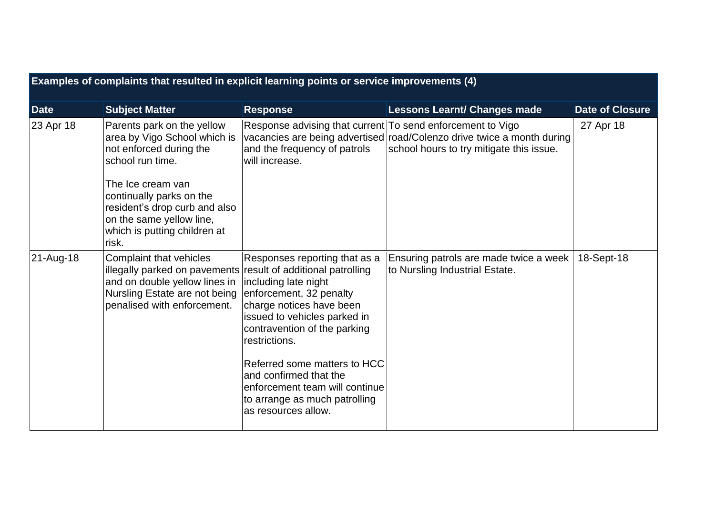| Examples of complaints that resulted in explicit learning points or service improvements (4) |                                                                                                                                                                                                                                                                  |                                                                                                                                                                                                                                                                                                                                                   |                                                                                                                    |                        |  |  |  |
|----------------------------------------------------------------------------------------------|------------------------------------------------------------------------------------------------------------------------------------------------------------------------------------------------------------------------------------------------------------------|---------------------------------------------------------------------------------------------------------------------------------------------------------------------------------------------------------------------------------------------------------------------------------------------------------------------------------------------------|--------------------------------------------------------------------------------------------------------------------|------------------------|--|--|--|
| Date                                                                                         | <b>Subject Matter</b>                                                                                                                                                                                                                                            | <b>Response</b>                                                                                                                                                                                                                                                                                                                                   | <b>Lessons Learnt/ Changes made</b>                                                                                | <b>Date of Closure</b> |  |  |  |
| 23 Apr 18                                                                                    | Parents park on the yellow<br>area by Vigo School which is<br>not enforced during the<br>school run time.<br>The Ice cream van<br>continually parks on the<br>resident's drop curb and also<br>on the same yellow line,<br>which is putting children at<br>risk. | Response advising that current To send enforcement to Vigo<br>and the frequency of patrols<br>will increase.                                                                                                                                                                                                                                      | vacancies are being advertised road/Colenzo drive twice a month during<br>school hours to try mitigate this issue. | 27 Apr 18              |  |  |  |
| 21-Aug-18                                                                                    | Complaint that vehicles<br>illegally parked on pavements result of additional patrolling<br>and on double yellow lines in<br>Nursling Estate are not being<br>penalised with enforcement.                                                                        | Responses reporting that as a<br>including late night<br>enforcement, 32 penalty<br>charge notices have been<br>issued to vehicles parked in<br>contravention of the parking<br>restrictions.<br>Referred some matters to HCC<br>and confirmed that the<br>enforcement team will continue<br>to arrange as much patrolling<br>as resources allow. | Ensuring patrols are made twice a week<br>to Nursling Industrial Estate.                                           | 18-Sept-18             |  |  |  |